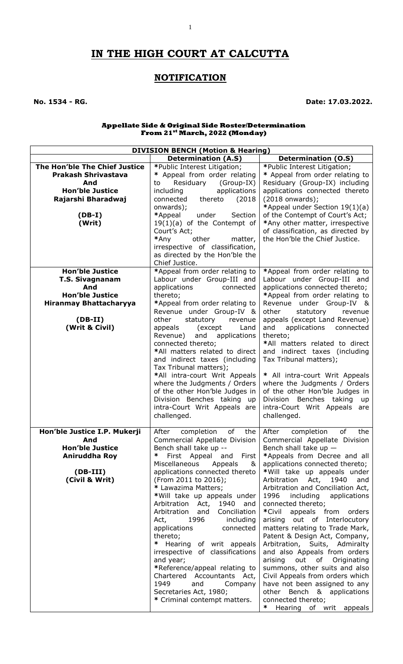# **IN THE HIGH COURT AT CALCUTTA**

1

## **NOTIFICATION**

**No. 1534 - RG. Date: 17.03.2022.**

#### **Appellate Side & Original Side Roster/Determination From 21st March, 2022 (Monday)**

| <b>DIVISION BENCH (Motion &amp; Hearing)</b> |                                                                            |                                                                   |  |
|----------------------------------------------|----------------------------------------------------------------------------|-------------------------------------------------------------------|--|
|                                              | <b>Determination (A.S)</b>                                                 | <b>Determination (O.S)</b>                                        |  |
| The Hon'ble The Chief Justice                | *Public Interest Litigation;                                               | *Public Interest Litigation;                                      |  |
| <b>Prakash Shrivastava</b>                   | * Appeal from order relating                                               | * Appeal from order relating to                                   |  |
| And                                          | Residuary<br>(Group-IX)<br>to                                              | Residuary (Group-IX) including                                    |  |
| <b>Hon'ble Justice</b>                       | applications<br>including                                                  | applications connected thereto                                    |  |
| Rajarshi Bharadwaj                           | connected<br>(2018)<br>thereto                                             | (2018 onwards);                                                   |  |
| $(DB-I)$                                     | onwards);<br>*Appeal<br>under<br>Section                                   | *Appeal under Section 19(1)(a)<br>of the Contempt of Court's Act; |  |
| (Writ)                                       | $19(1)(a)$ of the Contempt of                                              | *Any other matter, irrespective                                   |  |
|                                              | Court's Act;                                                               | of classification, as directed by                                 |  |
|                                              | *Any<br>other<br>matter,                                                   | the Hon'ble the Chief Justice.                                    |  |
|                                              | irrespective of classification,                                            |                                                                   |  |
|                                              | as directed by the Hon'ble the                                             |                                                                   |  |
|                                              | Chief Justice.                                                             |                                                                   |  |
| <b>Hon'ble Justice</b>                       | *Appeal from order relating to                                             | *Appeal from order relating to                                    |  |
| <b>T.S. Sivagnanam</b>                       | Labour under Group-III and                                                 | Labour under Group-III and                                        |  |
| And                                          | applications<br>connected                                                  | applications connected thereto;                                   |  |
| <b>Hon'ble Justice</b>                       | thereto;                                                                   | *Appeal from order relating to                                    |  |
| <b>Hiranmay Bhattacharyya</b>                | *Appeal from order relating to<br>Revenue under Group-IV &                 | Revenue under Group-IV &<br>other<br>statutory<br>revenue         |  |
| $(DB-II)$                                    | other<br>statutory<br>revenue                                              | appeals (except Land Revenue)                                     |  |
| (Writ & Civil)                               | appeals<br>(except)<br>Land                                                | applications<br>and<br>connected                                  |  |
|                                              | Revenue)<br>and<br>applications                                            | thereto;                                                          |  |
|                                              | connected thereto;                                                         | *All matters related to direct                                    |  |
|                                              | *All matters related to direct                                             | and indirect taxes (including                                     |  |
|                                              | and indirect taxes (including                                              | Tax Tribunal matters);                                            |  |
|                                              | Tax Tribunal matters);                                                     |                                                                   |  |
|                                              | *All intra-court Writ Appeals                                              | * All intra-court Writ Appeals                                    |  |
|                                              | where the Judgments / Orders<br>of the other Hon'ble Judges in             | where the Judgments / Orders<br>of the other Hon'ble Judges in    |  |
|                                              | Division Benches taking up                                                 | Division<br>Benches taking<br>up                                  |  |
|                                              | intra-Court Writ Appeals are                                               | intra-Court Writ Appeals are                                      |  |
|                                              | challenged.                                                                | challenged.                                                       |  |
|                                              |                                                                            |                                                                   |  |
| Hon'ble Justice I.P. Mukerji                 | of<br>After<br>the<br>completion                                           | After<br>of<br>the<br>completion                                  |  |
| And                                          |                                                                            | Commercial Appellate Division   Commercial Appellate Division     |  |
| <b>Hon'ble Justice</b>                       | Bench shall take up --                                                     | Bench shall take up $-$                                           |  |
| Aniruddha Roy                                | $\ast$<br>First Appeal and First                                           | *Appeals from Decree and all                                      |  |
|                                              | Miscellaneous<br>Appeals<br><u>&amp;</u><br>applications connected thereto | applications connected thereto;                                   |  |
| $(DB-III)$<br>(Civil & Writ)                 | (From 2011 to 2016);                                                       | *Will take up appeals under<br>Arbitration Act, 1940<br>and       |  |
|                                              | * Lawazima Matters;                                                        | Arbitration and Conciliation Act,                                 |  |
|                                              | *Will take up appeals under                                                | 1996 including applications                                       |  |
|                                              | Arbitration Act, 1940 and                                                  | connected thereto;                                                |  |
|                                              | Arbitration and<br>Conciliation                                            | *Civil appeals from orders                                        |  |
|                                              | Act,<br>1996<br>including                                                  | arising out of Interlocutory                                      |  |
|                                              | applications<br>connected                                                  | matters relating to Trade Mark,                                   |  |
|                                              | thereto;                                                                   | Patent & Design Act, Company,                                     |  |
|                                              | * Hearing of writ appeals                                                  | Arbitration, Suits, Admiralty                                     |  |
|                                              | irrespective of classifications                                            | and also Appeals from orders                                      |  |
|                                              | and year;                                                                  | arising out of Originating                                        |  |
|                                              | *Reference/appeal relating to<br>Chartered Accountants Act,                | summons, other suits and also<br>Civil Appeals from orders which  |  |
|                                              | 1949<br>and<br>Company                                                     | have not been assigned to any                                     |  |
|                                              | Secretaries Act, 1980;                                                     | other Bench & applications                                        |  |
|                                              | * Criminal contempt matters.                                               | connected thereto;                                                |  |
|                                              |                                                                            | Hearing of writ appeals                                           |  |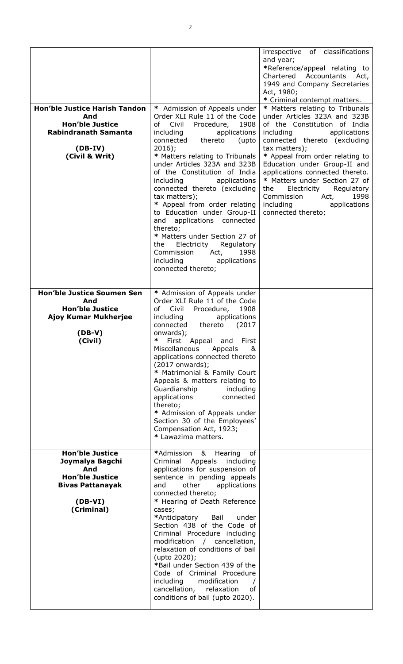| <b>Hon'ble Justice Harish Tandon</b><br>And<br><b>Hon'ble Justice</b><br><b>Rabindranath Samanta</b><br>$(DB-IV)$<br>(Civil & Writ) | * Admission of Appeals under<br>Order XLI Rule 11 of the Code<br>Procedure,<br>of Civil<br>1908<br>applications<br>including<br>connected thereto<br>(upto<br>$2016$ ;<br>* Matters relating to Tribunals<br>under Articles 323A and 323B<br>of the Constitution of India<br>including applications<br>connected thereto (excluding<br>tax matters);<br>* Appeal from order relating<br>to Education under Group-II<br>applications connected<br>and<br>thereto;<br>* Matters under Section 27 of<br>Electricity Regulatory<br>the<br>Commission Act,<br>1998<br>including<br>applications<br>connected thereto; | irrespective of classifications<br>and year;<br>*Reference/appeal relating to<br>Chartered<br>Accountants Act,<br>1949 and Company Secretaries<br>Act, 1980;<br>* Criminal contempt matters.<br>* Matters relating to Tribunals<br>under Articles 323A and 323B<br>of the Constitution of India<br>including<br>applications<br>connected thereto (excluding<br>tax matters);<br>* Appeal from order relating to<br>Education under Group-II and<br>applications connected thereto.<br>* Matters under Section 27 of<br>Electricity<br>Regulatory<br>the<br>Commission<br>Act,<br>1998<br>including<br>applications<br>connected thereto; |
|-------------------------------------------------------------------------------------------------------------------------------------|------------------------------------------------------------------------------------------------------------------------------------------------------------------------------------------------------------------------------------------------------------------------------------------------------------------------------------------------------------------------------------------------------------------------------------------------------------------------------------------------------------------------------------------------------------------------------------------------------------------|-------------------------------------------------------------------------------------------------------------------------------------------------------------------------------------------------------------------------------------------------------------------------------------------------------------------------------------------------------------------------------------------------------------------------------------------------------------------------------------------------------------------------------------------------------------------------------------------------------------------------------------------|
| <b>Hon'ble Justice Soumen Sen</b><br>And<br><b>Hon'ble Justice</b><br>Ajoy Kumar Mukherjee<br>$(DB-V)$<br>(Civil)                   | * Admission of Appeals under<br>Order XLI Rule 11 of the Code<br>of Civil<br>Procedure,<br>1908<br>including<br>applications<br>thereto (2017<br>connected<br>onwards);<br>* First Appeal and First<br>Miscellaneous<br>Appeals<br>&<br>applications connected thereto<br>(2017 onwards);<br>* Matrimonial & Family Court<br>Appeals & matters relating to<br>Guardianship<br>including<br>applications<br>connected<br>thereto;<br>* Admission of Appeals under<br>Section 30 of the Employees'<br>Compensation Act, 1923;<br>* Lawazima matters.                                                               |                                                                                                                                                                                                                                                                                                                                                                                                                                                                                                                                                                                                                                           |
| <b>Hon'ble Justice</b><br>Joymalya Bagchi<br>And<br><b>Hon'ble Justice</b><br><b>Bivas Pattanayak</b><br>$(DB-VI)$<br>(Criminal)    | *Admission<br>&<br>of<br>Hearing<br>Appeals<br>Criminal<br>including<br>applications for suspension of<br>sentence in pending appeals<br>other<br>and<br>applications<br>connected thereto;<br>* Hearing of Death Reference<br>cases;<br>*Anticipatory<br>Bail<br>under<br>Section 438 of the Code of<br>Criminal Procedure including<br>modification / cancellation,<br>relaxation of conditions of bail<br>(upto 2020);<br>*Bail under Section 439 of the<br>Code of Criminal Procedure<br>including<br>modification<br>cancellation,<br>relaxation<br>оf<br>conditions of bail (upto 2020).                   |                                                                                                                                                                                                                                                                                                                                                                                                                                                                                                                                                                                                                                           |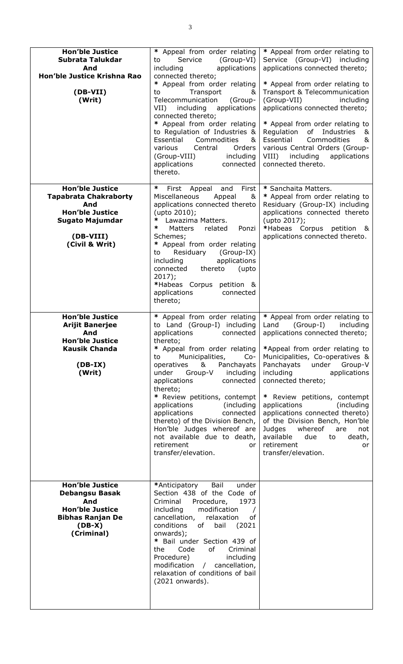| <b>Hon'ble Justice</b><br>Subrata Talukdar<br>And<br>Hon'ble Justice Krishna Rao<br>(DB-VII)<br>(Writ)                                    | * Appeal from order relating<br>Service<br>(Group-VI)<br>to<br>applications<br>including<br>connected thereto;<br>* Appeal from order relating<br>Transport<br>to<br>&<br>Telecommunication<br>(Group-<br>including<br>applications<br>$VII$ )<br>connected thereto;<br>* Appeal from order relating<br>to Regulation of Industries &<br>Essential<br>Commodities<br>&<br>Orders<br>various<br>Central<br>(Group-VIII)<br>including<br>applications<br>connected<br>thereto.                                             | * Appeal from order relating to<br>Service (Group-VI) including<br>applications connected thereto;<br>* Appeal from order relating to<br>Transport & Telecommunication<br>(Group-VII)<br>including<br>applications connected thereto;<br>* Appeal from order relating to<br>Regulation<br>of<br>Industries<br>&<br>Essential<br>Commodities<br>&<br>various Central Orders (Group-<br>VIII) including<br>applications<br>connected thereto.                                                                        |
|-------------------------------------------------------------------------------------------------------------------------------------------|--------------------------------------------------------------------------------------------------------------------------------------------------------------------------------------------------------------------------------------------------------------------------------------------------------------------------------------------------------------------------------------------------------------------------------------------------------------------------------------------------------------------------|--------------------------------------------------------------------------------------------------------------------------------------------------------------------------------------------------------------------------------------------------------------------------------------------------------------------------------------------------------------------------------------------------------------------------------------------------------------------------------------------------------------------|
| <b>Hon'ble Justice</b><br><b>Tapabrata Chakraborty</b><br>And<br><b>Hon'ble Justice</b><br>Sugato Majumdar<br>(DB-VIII)<br>(Civil & Writ) | ∗<br>First<br>First Appeal<br>and<br>Miscellaneous<br>Appeal<br>&<br>applications connected thereto<br>(upto 2010);<br>Lawazima Matters.<br>∗<br>∗<br>Matters<br>related<br>Ponzi<br>Schemes;<br>* Appeal from order relating<br>Residuary<br>(Group-IX)<br>to<br>applications<br>including<br>connected<br>thereto<br>(upto<br>2017);<br>*Habeas Corpus petition &<br>applications<br>connected<br>thereto;                                                                                                             | * Sanchaita Matters.<br>* Appeal from order relating to<br>Residuary (Group-IX) including<br>applications connected thereto<br>(upto 2017);<br>*Habeas Corpus<br>petition &<br>applications connected thereto.                                                                                                                                                                                                                                                                                                     |
| <b>Hon'ble Justice</b><br><b>Arijit Banerjee</b><br>And<br><b>Hon'ble Justice</b><br><b>Kausik Chanda</b><br>$(DB-IX)$<br>(Writ)          | * Appeal from order relating<br>to Land (Group-I) including<br>applications<br>connected<br>thereto;<br>* Appeal from order relating<br>Municipalities,<br>$Co-$<br>to<br>operatives<br>&<br>Panchayats<br>under<br>Group-V<br>including<br>applications<br>connected<br>thereto;<br>* Review petitions, contempt<br>applications<br>(including)<br>applications<br>connected<br>thereto) of the Division Bench,<br>Hon'ble Judges whereof are<br>not available due to death,<br>retirement<br>or<br>transfer/elevation. | * Appeal from order relating to<br>$(Group-I)$<br>Land<br>including<br>applications connected thereto;<br>*Appeal from order relating to<br>Municipalities, Co-operatives &<br>Panchayats under<br>Group-V<br>including<br>applications<br>connected thereto;<br>* Review petitions, contempt<br>applications<br>(including<br>applications connected thereto)<br>of the Division Bench, Hon'ble<br>Judges<br>whereof<br>are<br>not<br>available<br>due<br>to<br>death,<br>retirement<br>or<br>transfer/elevation. |
| <b>Hon'ble Justice</b><br>Debangsu Basak<br>And<br><b>Hon'ble Justice</b><br><b>Bibhas Ranjan De</b><br>$(DB-X)$<br>(Criminal)            | Bail<br>under<br>*Anticipatory<br>Section 438 of the Code of<br>Criminal<br>Procedure,<br>1973<br>including<br>modification<br>cancellation,<br>of<br>relaxation<br>conditions<br>bail<br>(2021)<br>of<br>onwards);<br>* Bail under Section 439 of<br>Code<br>of<br>Criminal<br>the<br>Procedure)<br>including<br>modification / cancellation,<br>relaxation of conditions of bail<br>(2021 onwards).                                                                                                                    |                                                                                                                                                                                                                                                                                                                                                                                                                                                                                                                    |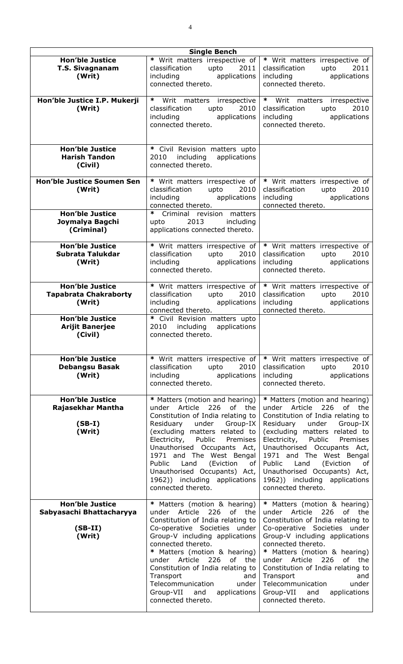| <b>Single Bench</b>                                                       |                                                                                                                                                                                                                                                                                                                                                                                                              |                                                                                                                                                                                                                                                                                                                                                                                                                |
|---------------------------------------------------------------------------|--------------------------------------------------------------------------------------------------------------------------------------------------------------------------------------------------------------------------------------------------------------------------------------------------------------------------------------------------------------------------------------------------------------|----------------------------------------------------------------------------------------------------------------------------------------------------------------------------------------------------------------------------------------------------------------------------------------------------------------------------------------------------------------------------------------------------------------|
| <b>Hon'ble Justice</b><br><b>T.S. Sivagnanam</b><br>(Writ)                | * Writ matters irrespective of<br>upto<br>classification<br>2011<br>including<br>applications<br>connected thereto.                                                                                                                                                                                                                                                                                          | * Writ matters irrespective of<br>classification<br>upto $2011$<br>applications<br>including<br>connected thereto.                                                                                                                                                                                                                                                                                             |
| Hon'ble Justice I.P. Mukerji<br>(Writ)                                    | * Writ matters irrespective<br>2010<br>classification<br>upto<br>including applications<br>connected thereto.                                                                                                                                                                                                                                                                                                | * Writ matters irrespective<br>2010<br>classification upto<br>including<br>applications<br>connected thereto.                                                                                                                                                                                                                                                                                                  |
| <b>Hon'ble Justice</b><br><b>Harish Tandon</b><br>(Civil)                 | * Civil Revision matters upto<br>2010 including applications<br>connected thereto.                                                                                                                                                                                                                                                                                                                           |                                                                                                                                                                                                                                                                                                                                                                                                                |
| <b>Hon'ble Justice Soumen Sen</b><br>(Writ)                               | * Writ matters irrespective of<br>classification upto<br>2010<br>including applications<br>connected thereto.                                                                                                                                                                                                                                                                                                | * Writ matters irrespective of<br>classification upto<br>2010<br>including applications<br>connected thereto.                                                                                                                                                                                                                                                                                                  |
| <b>Hon'ble Justice</b><br>Joymalya Bagchi<br>(Criminal)                   | * Criminal revision matters<br>upto 2013 including<br>applications connected thereto.                                                                                                                                                                                                                                                                                                                        |                                                                                                                                                                                                                                                                                                                                                                                                                |
| <b>Hon'ble Justice</b><br>Subrata Talukdar<br>(Writ)                      | * Writ matters irrespective of<br>upto<br>classification<br>2010<br>including applications<br>connected thereto.                                                                                                                                                                                                                                                                                             | * Writ matters irrespective of<br>upto<br>classification<br>2010<br>including and the state of the state of the state of the state of the state of the state of the state of the state of the state of the state of the state of the state of the state of the state of the state of the state of t<br>applications<br>connected thereto.                                                                      |
| <b>Hon'ble Justice</b><br><b>Tapabrata Chakraborty</b><br>(Writ)          | * Writ matters irrespective of<br>classification<br>upto<br>2010<br>including applications<br>connected thereto.                                                                                                                                                                                                                                                                                             | * Writ matters irrespective of<br>classification<br>2010<br>upto<br>including applications<br>connected thereto.                                                                                                                                                                                                                                                                                               |
| <b>Hon'ble Justice</b><br><b>Arijit Banerjee</b><br>(Civil)               | * Civil Revision matters upto<br>2010 including applications<br>connected thereto.                                                                                                                                                                                                                                                                                                                           |                                                                                                                                                                                                                                                                                                                                                                                                                |
| <b>Hon'ble Justice</b><br><b>Debangsu Basak</b><br>(Writ)                 | * Writ matters irrespective of<br>classification<br>upto<br>2010<br>including<br>applications<br>connected thereto.                                                                                                                                                                                                                                                                                          | * Writ matters irrespective of<br>classification<br>upto<br>2010<br>applications<br>including<br>connected thereto.                                                                                                                                                                                                                                                                                            |
| <b>Hon'ble Justice</b><br>Rajasekhar Mantha<br>$(SB-I)$<br>(Writ)         | * Matters (motion and hearing)<br>under Article<br>226<br>of the<br>Constitution of India relating to<br>Residuary<br>under<br>Group-IX<br>(excluding matters related to<br>Public<br>Electricity,<br>Premises<br>Unauthorised Occupants Act,<br>1971 and The West Bengal<br><b>Public</b><br>Land<br>(Eviction<br>оf<br>Unauthorised Occupants) Act,<br>1962)) including applications<br>connected thereto. | * Matters (motion and hearing)<br>under Article<br>226<br>of<br>the<br>Constitution of India relating to<br>Residuary<br>under<br>Group-IX<br>(excluding matters related to<br>Public<br>Electricity,<br>Premises<br>Unauthorised Occupants Act,<br>1971 and The West Bengal<br>Public<br>Land<br>(Eviction<br>οf<br>Unauthorised Occupants) Act,<br>1962)) including applications<br>connected thereto.       |
| <b>Hon'ble Justice</b><br>Sabyasachi Bhattacharyya<br>$(SB-II)$<br>(Writ) | * Matters (motion & hearing)<br>under Article<br>226<br>of the<br>Constitution of India relating to<br>Co-operative Societies under<br>Group-V including applications<br>connected thereto.<br>* Matters (motion & hearing)<br>under Article 226<br>of the<br>Constitution of India relating to<br>Transport<br>and<br>Telecommunication<br>under<br>Group-VII and<br>applications<br>connected thereto.     | * Matters (motion & hearing)<br>under Article<br>226<br>of<br>the<br>Constitution of India relating to<br>Co-operative Societies under<br>Group-V including applications<br>connected thereto.<br>* Matters (motion & hearing)<br>under Article 226<br>of the<br>Constitution of India relating to<br>Transport<br>and<br>Telecommunication<br>under<br>Group-VII<br>and<br>applications<br>connected thereto. |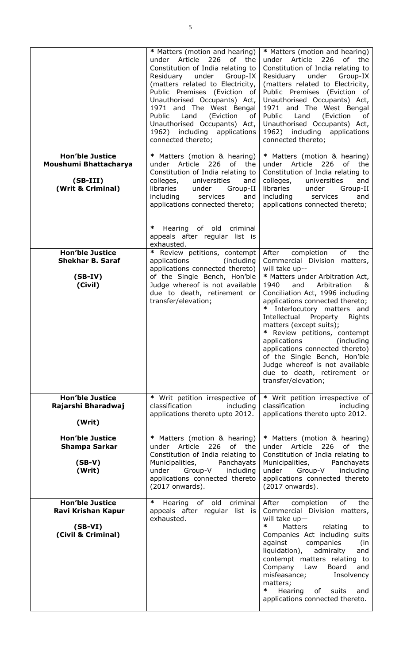|                                                                                    | * Matters (motion and hearing)<br>under Article 226 of the<br>Constitution of India relating to<br>Residuary<br>under<br>Group-IX<br>(matters related to Electricity,<br>Public Premises (Eviction of<br>Unauthorised Occupants) Act,<br>1971 and The West Bengal<br>(Eviction<br>Public<br>Land<br>of<br>Unauthorised Occupants) Act,<br>1962) including applications<br>connected thereto; | * Matters (motion and hearing)<br>under Article 226 of the<br>Constitution of India relating to<br>Residuary under<br>Group-IX<br>(matters related to Electricity,<br>Public Premises (Eviction of<br>Unauthorised Occupants) Act,<br>1971 and The West Bengal<br>Land<br>Public<br>(Eviction<br>of<br>Unauthorised Occupants) Act,<br>1962) including applications<br>connected thereto;                                                                                                                                                            |
|------------------------------------------------------------------------------------|----------------------------------------------------------------------------------------------------------------------------------------------------------------------------------------------------------------------------------------------------------------------------------------------------------------------------------------------------------------------------------------------|------------------------------------------------------------------------------------------------------------------------------------------------------------------------------------------------------------------------------------------------------------------------------------------------------------------------------------------------------------------------------------------------------------------------------------------------------------------------------------------------------------------------------------------------------|
| <b>Hon'ble Justice</b><br>Moushumi Bhattacharya<br>$(SB-III)$<br>(Writ & Criminal) | * Matters (motion & hearing)<br>under Article<br>226<br>of<br>the<br>Constitution of India relating to<br>colleges,<br>universities<br>and<br>libraries<br>under<br>Group-II<br>including<br>services<br>and<br>applications connected thereto;<br>∗<br>Hearing of old criminal<br>appeals after regular list is<br>exhausted.                                                               | * Matters (motion & hearing)<br>under Article<br>226<br>of<br>the<br>Constitution of India relating to<br>colleges,<br>and<br>universities<br>libraries<br>under<br>Group-II<br>including<br>services<br>and<br>applications connected thereto;                                                                                                                                                                                                                                                                                                      |
| <b>Hon'ble Justice</b><br><b>Shekhar B. Saraf</b><br>$(SB-IV)$<br>(Civil)          | * Review petitions, contempt<br>applications<br>(including<br>applications connected thereto)<br>of the Single Bench, Hon'ble<br>Judge whereof is not available<br>due to death, retirement or<br>transfer/elevation;                                                                                                                                                                        | of<br>the<br>After<br>completion<br>Commercial Division matters,<br>will take up--<br>* Matters under Arbitration Act,<br>1940<br>and<br>Arbitration<br>_&<br>Conciliation Act, 1996 including<br>applications connected thereto;<br>* Interlocutory matters and<br>Intellectual Property<br>Rights<br>matters (except suits);<br>* Review petitions, contempt<br>applications (including<br>applications connected thereto)<br>of the Single Bench, Hon'ble<br>Judge whereof is not available<br>due to death, retirement or<br>transfer/elevation; |
| <b>Hon'ble Justice</b><br>Rajarshi Bharadwaj<br>(Writ)                             | * Writ petition irrespective of<br>classification<br>including<br>applications thereto upto 2012.                                                                                                                                                                                                                                                                                            | * Writ petition irrespective of<br>classification<br>including<br>applications thereto upto 2012.                                                                                                                                                                                                                                                                                                                                                                                                                                                    |
| <b>Hon'ble Justice</b><br><b>Shampa Sarkar</b><br>$(SB-V)$<br>(Writ)               | * Matters (motion & hearing)<br>under Article<br>226<br>of the<br>Constitution of India relating to<br>Municipalities,<br>Panchayats<br>under<br>Group-V<br>including<br>applications connected thereto<br>(2017 onwards).                                                                                                                                                                   | * Matters (motion & hearing)<br>under Article<br>226<br>of the<br>Constitution of India relating to<br>Panchayats<br>Municipalities,<br>under<br>Group-V<br>including<br>applications connected thereto<br>(2017 onwards).                                                                                                                                                                                                                                                                                                                           |
| <b>Hon'ble Justice</b><br>Ravi Krishan Kapur<br>$(SB-VI)$<br>(Civil & Criminal)    | ∗<br>Hearing of old<br>criminal<br>appeals after regular list is<br>exhausted.                                                                                                                                                                                                                                                                                                               | of<br>After<br>completion<br>the<br>Commercial Division matters,<br>will take $up-$<br>∗<br><b>Matters</b><br>relating<br>to<br>Companies Act including suits<br>against<br>companies<br>(in<br>liquidation),<br>admiralty<br>and<br>contempt matters relating to<br>Company<br>Law<br>Board<br>and<br>misfeasance;<br>Insolvency<br>matters;<br>∗<br>Hearing<br>of<br>suits<br>and<br>applications connected thereto.                                                                                                                               |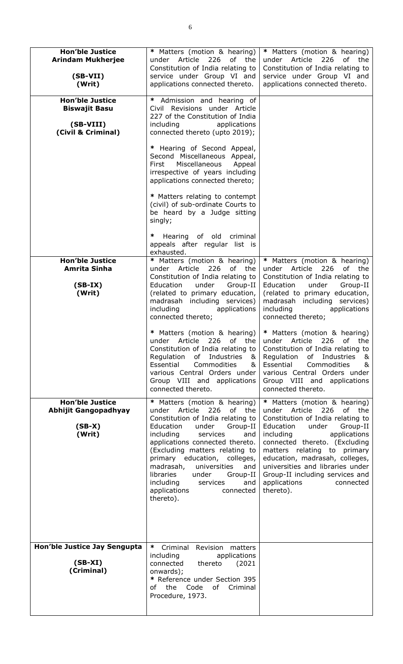| <b>Hon'ble Justice</b><br><b>Arindam Mukherjee</b><br>$(SB-VII)$<br>(Writ)        | * Matters (motion & hearing)<br>226<br>under<br>Article<br>of the<br>Constitution of India relating to<br>service under Group VI and<br>applications connected thereto.                                                                                                                                                                                                                                                    | * Matters (motion & hearing)<br>under Article<br>226<br>of<br>the<br>Constitution of India relating to<br>service under Group VI and<br>applications connected thereto.                                                                                                                                                                                                               |
|-----------------------------------------------------------------------------------|----------------------------------------------------------------------------------------------------------------------------------------------------------------------------------------------------------------------------------------------------------------------------------------------------------------------------------------------------------------------------------------------------------------------------|---------------------------------------------------------------------------------------------------------------------------------------------------------------------------------------------------------------------------------------------------------------------------------------------------------------------------------------------------------------------------------------|
| <b>Hon'ble Justice</b><br><b>Biswajit Basu</b><br>(SB-VIII)<br>(Civil & Criminal) | * Admission and hearing of<br>Civil Revisions under Article<br>227 of the Constitution of India<br>including<br>applications<br>connected thereto (upto 2019);                                                                                                                                                                                                                                                             |                                                                                                                                                                                                                                                                                                                                                                                       |
|                                                                                   | * Hearing of Second Appeal,<br>Second Miscellaneous Appeal,<br>Miscellaneous<br>First<br>Appeal<br>irrespective of years including<br>applications connected thereto;                                                                                                                                                                                                                                                      |                                                                                                                                                                                                                                                                                                                                                                                       |
|                                                                                   | * Matters relating to contempt<br>(civil) of sub-ordinate Courts to<br>be heard by a Judge sitting<br>singly;                                                                                                                                                                                                                                                                                                              |                                                                                                                                                                                                                                                                                                                                                                                       |
|                                                                                   | Hearing of old criminal<br>*<br>appeals after regular list is<br>exhausted.                                                                                                                                                                                                                                                                                                                                                |                                                                                                                                                                                                                                                                                                                                                                                       |
| <b>Hon'ble Justice</b><br><b>Amrita Sinha</b><br>$(SB-IX)$<br>(Writ)              | * Matters (motion & hearing)<br>under Article<br>226<br>of the<br>Constitution of India relating to<br>Education<br>under<br>Group-II<br>(related to primary education,<br>madrasah including services)<br>including<br>applications<br>connected thereto;                                                                                                                                                                 | * Matters (motion & hearing)<br>under Article 226<br>of the<br>Constitution of India relating to<br>Education<br>under<br>Group-II<br>(related to primary education,<br>madrasah including services)<br>including<br>applications<br>connected thereto;                                                                                                                               |
|                                                                                   | * Matters (motion & hearing)<br>under Article<br>226 of<br>the<br>Constitution of India relating to<br>Regulation<br>of Industries<br>&<br>Essential<br>Commodities<br>&<br>various Central Orders under<br>Group VIII and applications<br>connected thereto.                                                                                                                                                              | * Matters (motion & hearing)<br>under Article<br>226 of the<br>Constitution of India relating to<br>Regulation<br>of<br>Industries<br>&<br>Essential<br>Commodities<br>&<br>various Central Orders under<br>Group VIII and applications<br>connected thereto.                                                                                                                         |
| <b>Hon'ble Justice</b><br><b>Abhijit Gangopadhyay</b><br>$(SB-X)$<br>(Writ)       | * Matters (motion & hearing)<br>226<br>of the<br>under Article<br>Constitution of India relating to<br>Education<br>under<br>Group-II<br>including<br>services<br>and<br>applications connected thereto.<br>(Excluding matters relating to<br>primary education, colleges,<br>madrasah,<br>universities<br>and<br>libraries<br>under<br>Group-II<br>including<br>services<br>and<br>applications<br>connected<br>thereto). | * Matters (motion & hearing)<br>under Article<br>226<br>of the<br>Constitution of India relating to<br>Education<br>Group-II<br>under<br>including<br>applications<br>connected thereto. (Excluding<br>matters relating to primary<br>education, madrasah, colleges,<br>universities and libraries under<br>Group-II including services and<br>applications<br>connected<br>thereto). |
| Hon'ble Justice Jay Sengupta<br>$(SB-XI)$<br>(Criminal)                           | $*$<br>Criminal Revision<br>matters<br>including<br>applications<br>connected<br>thereto<br>(2021)<br>onwards);<br>* Reference under Section 395<br>of the Code of Criminal<br>Procedure, 1973.                                                                                                                                                                                                                            |                                                                                                                                                                                                                                                                                                                                                                                       |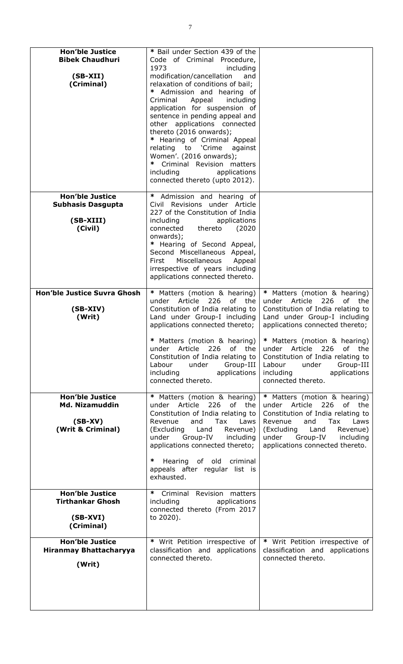| <b>Hon'ble Justice</b><br><b>Bibek Chaudhuri</b><br>$(SB-XII)$<br>(Criminal)      | * Bail under Section 439 of the<br>Code of Criminal<br>Procedure,<br>1973<br>including<br>modification/cancellation<br>and<br>relaxation of conditions of bail;<br>∗<br>Admission and hearing of<br>Appeal<br>including<br>Criminal<br>application for suspension of<br>sentence in pending appeal and<br>other applications connected<br>thereto (2016 onwards);<br>* Hearing of Criminal Appeal<br>relating to 'Crime<br>against<br>Women'. (2016 onwards);<br>∗<br>Criminal Revision matters<br>including<br>applications<br>connected thereto (upto 2012). |                                                                                                                                                                                                                                                                                                                                                                              |
|-----------------------------------------------------------------------------------|----------------------------------------------------------------------------------------------------------------------------------------------------------------------------------------------------------------------------------------------------------------------------------------------------------------------------------------------------------------------------------------------------------------------------------------------------------------------------------------------------------------------------------------------------------------|------------------------------------------------------------------------------------------------------------------------------------------------------------------------------------------------------------------------------------------------------------------------------------------------------------------------------------------------------------------------------|
| <b>Hon'ble Justice</b><br><b>Subhasis Dasgupta</b><br>(SB-XIII)<br>(Civil)        | * Admission and hearing of<br>Civil Revisions under Article<br>227 of the Constitution of India<br>including<br>applications<br>(2020)<br>connected<br>thereto<br>onwards);<br>* Hearing of Second Appeal,<br>Second Miscellaneous Appeal,<br>Miscellaneous<br>First<br>Appeal<br>irrespective of years including<br>applications connected thereto.                                                                                                                                                                                                           |                                                                                                                                                                                                                                                                                                                                                                              |
| <b>Hon'ble Justice Suvra Ghosh</b><br>$(SB- XIV)$<br>(Writ)                       | * Matters (motion & hearing)<br>Article<br>226<br>of the<br>under<br>Constitution of India relating to<br>Land under Group-I including<br>applications connected thereto;<br>Matters (motion & hearing)<br>226<br>of the<br>Article<br>under<br>Constitution of India relating to<br>Group-III<br>Labour<br>under<br>including<br>applications<br>connected thereto.                                                                                                                                                                                           | * Matters (motion & hearing)<br>Article<br>226<br>of<br>the<br>under<br>Constitution of India relating to<br>Land under Group-I including<br>applications connected thereto;<br>* Matters (motion & hearing)<br>226<br>Article<br>of<br>the<br>under<br>Constitution of India relating to<br>Labour<br>under<br>Group-III<br>including<br>applications<br>connected thereto. |
| <b>Hon'ble Justice</b><br><b>Md. Nizamuddin</b><br>$(SB-XV)$<br>(Writ & Criminal) | * Matters (motion & hearing)<br>under Article 226<br>of<br>the<br>Constitution of India relating to<br>and<br>Tax<br>Revenue<br>Laws<br>(Excluding Land<br>Revenue)<br>under Group-IV including<br>applications connected thereto;<br>∗<br>Hearing of old criminal<br>appeals after regular list is<br>exhausted.                                                                                                                                                                                                                                              | * Matters (motion & hearing)<br>under Article<br>226<br>of<br>the<br>Constitution of India relating to<br>Tax<br>Revenue<br>and<br>Laws<br>(Excluding Land<br>Revenue)<br>under<br>Group-IV<br>including<br>applications connected thereto.                                                                                                                                  |
| <b>Hon'ble Justice</b><br><b>Tirthankar Ghosh</b><br>$(SB-XVI)$<br>(Criminal)     | * Criminal Revision matters<br>applications<br>including<br>connected thereto (From 2017<br>to 2020).                                                                                                                                                                                                                                                                                                                                                                                                                                                          |                                                                                                                                                                                                                                                                                                                                                                              |
| <b>Hon'ble Justice</b><br><b>Hiranmay Bhattacharyya</b><br>(Writ)                 | * Writ Petition irrespective of<br>classification and applications<br>connected thereto.                                                                                                                                                                                                                                                                                                                                                                                                                                                                       | * Writ Petition irrespective of<br>classification and applications<br>connected thereto.                                                                                                                                                                                                                                                                                     |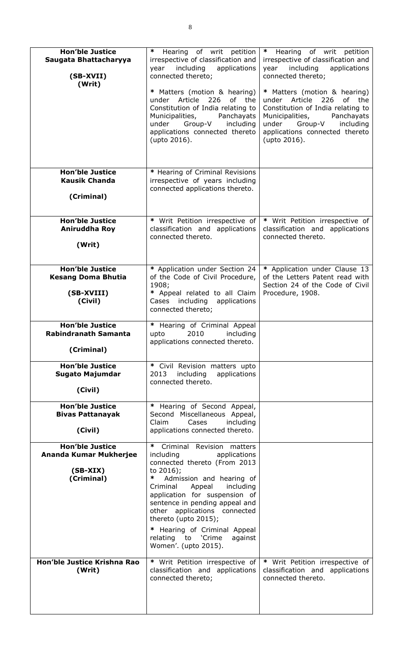| <b>Hon'ble Justice</b><br>Saugata Bhattacharyya<br>(SB-XVII)<br>(Writ)       | $\ast$<br>Hearing of writ petition<br>irrespective of classification and<br>including<br>applications<br>year<br>connected thereto;<br>* Matters (motion & hearing)<br>under Article<br>226<br>of the<br>Constitution of India relating to<br>Municipalities,<br>Panchayats<br>under Group-V<br>including<br>applications connected thereto<br>(upto 2016).                                           | $\ast$<br>Hearing of writ petition<br>irrespective of classification and<br>including<br>applications<br>year<br>connected thereto;<br>* Matters (motion & hearing)<br>226<br>under Article<br>of the<br>Constitution of India relating to<br>Panchayats<br>Municipalities,<br>under Group-V<br>including<br>applications connected thereto<br>(upto 2016). |
|------------------------------------------------------------------------------|-------------------------------------------------------------------------------------------------------------------------------------------------------------------------------------------------------------------------------------------------------------------------------------------------------------------------------------------------------------------------------------------------------|-------------------------------------------------------------------------------------------------------------------------------------------------------------------------------------------------------------------------------------------------------------------------------------------------------------------------------------------------------------|
| <b>Hon'ble Justice</b><br><b>Kausik Chanda</b><br>(Criminal)                 | * Hearing of Criminal Revisions<br>irrespective of years including<br>connected applications thereto.                                                                                                                                                                                                                                                                                                 |                                                                                                                                                                                                                                                                                                                                                             |
| <b>Hon'ble Justice</b><br>Aniruddha Roy<br>(Writ)                            | * Writ Petition irrespective of<br>classification and applications<br>connected thereto.                                                                                                                                                                                                                                                                                                              | * Writ Petition irrespective of<br>classification and applications<br>connected thereto.                                                                                                                                                                                                                                                                    |
| <b>Hon'ble Justice</b><br><b>Kesang Doma Bhutia</b><br>(SB-XVIII)<br>(Civil) | * Application under Section 24<br>of the Code of Civil Procedure,<br>1908;<br>* Appeal related to all Claim<br>Cases including applications<br>connected thereto;                                                                                                                                                                                                                                     | * Application under Clause 13<br>of the Letters Patent read with<br>Section 24 of the Code of Civil<br>Procedure, 1908.                                                                                                                                                                                                                                     |
| <b>Hon'ble Justice</b><br><b>Rabindranath Samanta</b><br>(Criminal)          | * Hearing of Criminal Appeal<br>2010<br>upto<br>including<br>applications connected thereto.                                                                                                                                                                                                                                                                                                          |                                                                                                                                                                                                                                                                                                                                                             |
| <b>Hon'ble Justice</b><br><b>Sugato Majumdar</b><br>(Civil)                  | * Civil Revision matters upto<br>2013<br>including<br>applications<br>connected thereto.                                                                                                                                                                                                                                                                                                              |                                                                                                                                                                                                                                                                                                                                                             |
| <b>Hon'ble Justice</b><br><b>Bivas Pattanayak</b><br>(Civil)                 | * Hearing of Second Appeal,<br>Second Miscellaneous Appeal,<br>Claim<br>Cases<br>including<br>applications connected thereto.                                                                                                                                                                                                                                                                         |                                                                                                                                                                                                                                                                                                                                                             |
| <b>Hon'ble Justice</b><br>Ananda Kumar Mukherjee<br>$(SB-XIX)$<br>(Criminal) | Criminal Revision matters<br>$\ast$<br>applications<br>including<br>connected thereto (From 2013<br>to 2016);<br>∗<br>Admission and hearing of<br>Appeal<br>including<br>Criminal<br>application for suspension of<br>sentence in pending appeal and<br>other applications connected<br>thereto (upto 2015);<br>* Hearing of Criminal Appeal<br>relating to 'Crime<br>against<br>Women'. (upto 2015). |                                                                                                                                                                                                                                                                                                                                                             |
| Hon'ble Justice Krishna Rao<br>(Writ)                                        | * Writ Petition irrespective of<br>classification and applications<br>connected thereto;                                                                                                                                                                                                                                                                                                              | * Writ Petition irrespective of<br>classification and applications<br>connected thereto.                                                                                                                                                                                                                                                                    |